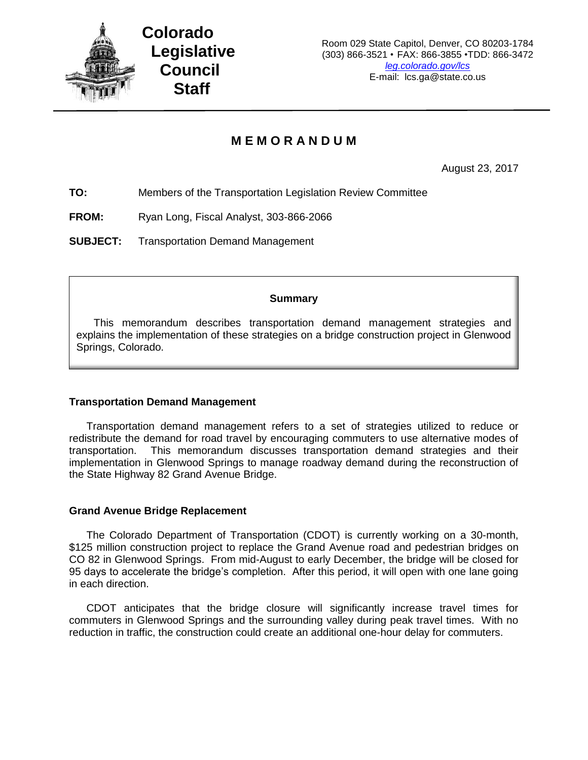

# **M E M O R A N D U M**

August 23, 2017

**TO:** Members of the Transportation Legislation Review Committee

**FROM:** Ryan Long, Fiscal Analyst, 303-866-2066

**SUBJECT:** Transportation Demand Management

## **Summary**

This memorandum describes transportation demand management strategies and explains the implementation of these strategies on a bridge construction project in Glenwood Springs, Colorado.

### **Transportation Demand Management**

Transportation demand management refers to a set of strategies utilized to reduce or redistribute the demand for road travel by encouraging commuters to use alternative modes of transportation. This memorandum discusses transportation demand strategies and their implementation in Glenwood Springs to manage roadway demand during the reconstruction of the State Highway 82 Grand Avenue Bridge.

### **Grand Avenue Bridge Replacement**

The Colorado Department of Transportation (CDOT) is currently working on a 30-month, \$125 million construction project to replace the Grand Avenue road and pedestrian bridges on CO 82 in Glenwood Springs. From mid-August to early December, the bridge will be closed for 95 days to accelerate the bridge's completion. After this period, it will open with one lane going in each direction.

CDOT anticipates that the bridge closure will significantly increase travel times for commuters in Glenwood Springs and the surrounding valley during peak travel times. With no reduction in traffic, the construction could create an additional one-hour delay for commuters.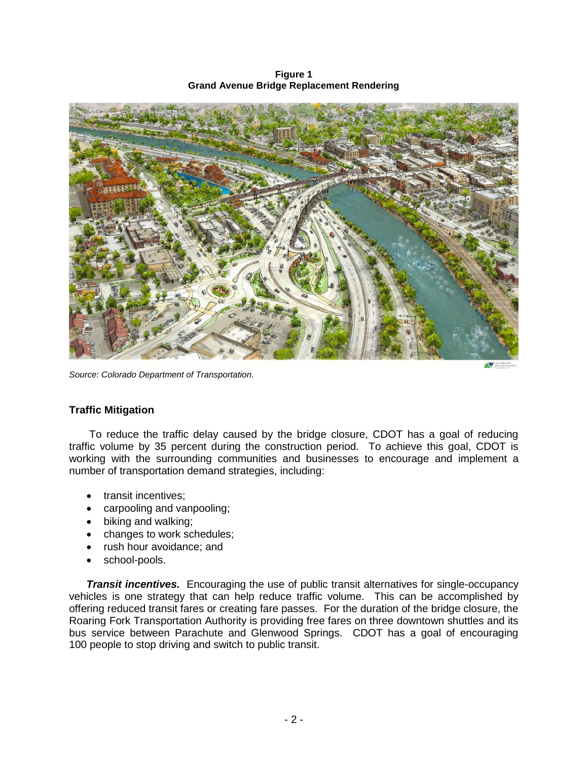**Figure 1 Grand Avenue Bridge Replacement Rendering**



*Source: Colorado Department of Transportation.*

### **Traffic Mitigation**

To reduce the traffic delay caused by the bridge closure, CDOT has a goal of reducing traffic volume by 35 percent during the construction period. To achieve this goal, CDOT is working with the surrounding communities and businesses to encourage and implement a number of transportation demand strategies, including:

- transit incentives;
- carpooling and vanpooling;
- biking and walking;
- changes to work schedules;
- rush hour avoidance; and
- school-pools.

*Transit incentives.* Encouraging the use of public transit alternatives for single-occupancy vehicles is one strategy that can help reduce traffic volume. This can be accomplished by offering reduced transit fares or creating fare passes. For the duration of the bridge closure, the Roaring Fork Transportation Authority is providing free fares on three downtown shuttles and its bus service between Parachute and Glenwood Springs. CDOT has a goal of encouraging 100 people to stop driving and switch to public transit.